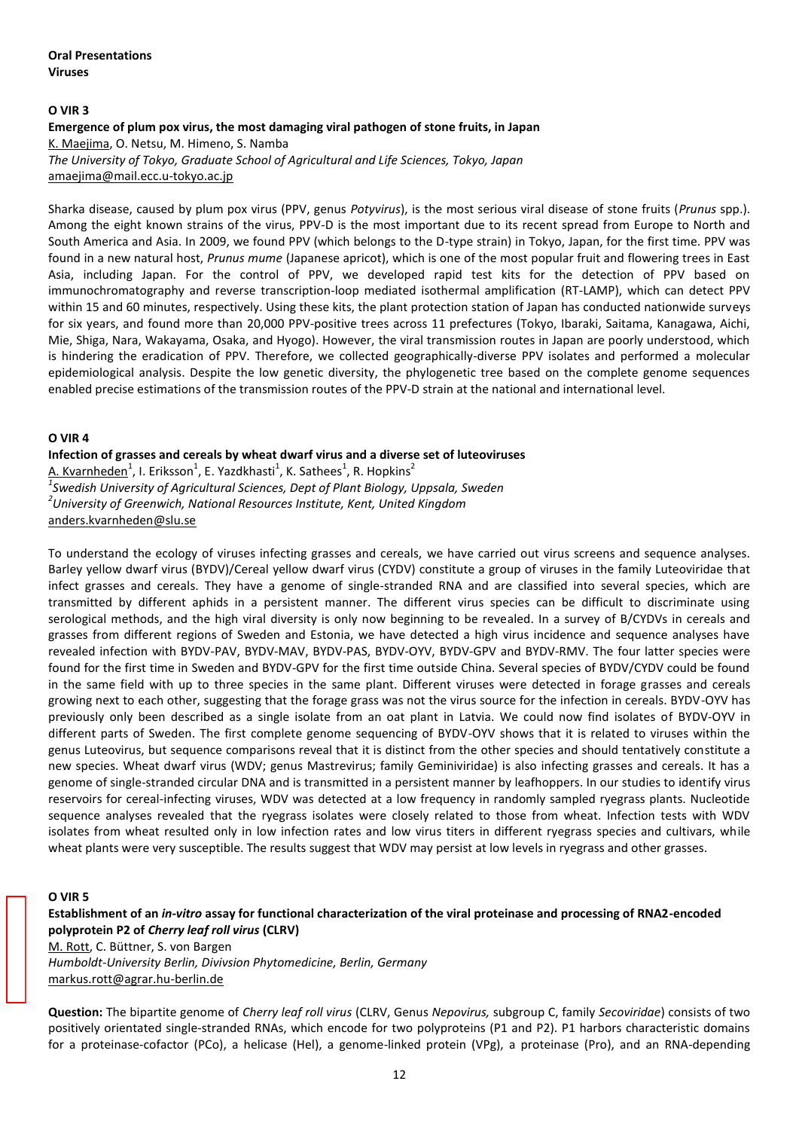## **O VIR 3**

#### **Emergence of plum pox virus, the most damaging viral pathogen of stone fruits, in Japan**  K. Maejima, O. Netsu, M. Himeno, S. Namba

*The University of Tokyo, Graduate School of Agricultural and Life Sciences, Tokyo, Japan*  amaejima@mail.ecc.u-tokyo.ac.jp

Sharka disease, caused by plum pox virus (PPV, genus *Potyvirus*), is the most serious viral disease of stone fruits (*Prunus* spp.). Among the eight known strains of the virus, PPV-D is the most important due to its recent spread from Europe to North and South America and Asia. In 2009, we found PPV (which belongs to the D-type strain) in Tokyo, Japan, for the first time. PPV was found in a new natural host, *Prunus mume* (Japanese apricot), which is one of the most popular fruit and flowering trees in East Asia, including Japan. For the control of PPV, we developed rapid test kits for the detection of PPV based on immunochromatography and reverse transcription-loop mediated isothermal amplification (RT-LAMP), which can detect PPV within 15 and 60 minutes, respectively. Using these kits, the plant protection station of Japan has conducted nationwide surveys for six years, and found more than 20,000 PPV-positive trees across 11 prefectures (Tokyo, Ibaraki, Saitama, Kanagawa, Aichi, Mie, Shiga, Nara, Wakayama, Osaka, and Hyogo). However, the viral transmission routes in Japan are poorly understood, which is hindering the eradication of PPV. Therefore, we collected geographically-diverse PPV isolates and performed a molecular epidemiological analysis. Despite the low genetic diversity, the phylogenetic tree based on the complete genome sequences enabled precise estimations of the transmission routes of the PPV-D strain at the national and international level.

#### **O VIR 4**

**Infection of grasses and cereals by wheat dwarf virus and a diverse set of luteoviruses**  A. Kvarnheden<sup>1</sup>, I. Eriksson<sup>1</sup>, E. Yazdkhasti<sup>1</sup>, K. Sathees<sup>1</sup>, R. Hopkins<sup>2</sup> *1 Swedish University of Agricultural Sciences, Dept of Plant Biology, Uppsala, Sweden 2 University of Greenwich, National Resources Institute, Kent, United Kingdom*  anders.kvarnheden@slu.se

To understand the ecology of viruses infecting grasses and cereals, we have carried out virus screens and sequence analyses. Barley yellow dwarf virus (BYDV)/Cereal yellow dwarf virus (CYDV) constitute a group of viruses in the family Luteoviridae that infect grasses and cereals. They have a genome of single-stranded RNA and are classified into several species, which are transmitted by different aphids in a persistent manner. The different virus species can be difficult to discriminate using serological methods, and the high viral diversity is only now beginning to be revealed. In a survey of B/CYDVs in cereals and grasses from different regions of Sweden and Estonia, we have detected a high virus incidence and sequence analyses have revealed infection with BYDV-PAV, BYDV-MAV, BYDV-PAS, BYDV-OYV, BYDV-GPV and BYDV-RMV. The four latter species were found for the first time in Sweden and BYDV-GPV for the first time outside China. Several species of BYDV/CYDV could be found in the same field with up to three species in the same plant. Different viruses were detected in forage grasses and cereals growing next to each other, suggesting that the forage grass was not the virus source for the infection in cereals. BYDV-OYV has previously only been described as a single isolate from an oat plant in Latvia. We could now find isolates of BYDV-OYV in different parts of Sweden. The first complete genome sequencing of BYDV-OYV shows that it is related to viruses within the genus Luteovirus, but sequence comparisons reveal that it is distinct from the other species and should tentatively constitute a new species. Wheat dwarf virus (WDV; genus Mastrevirus; family Geminiviridae) is also infecting grasses and cereals. It has a genome of single-stranded circular DNA and is transmitted in a persistent manner by leafhoppers. In our studies to identify virus reservoirs for cereal-infecting viruses, WDV was detected at a low frequency in randomly sampled ryegrass plants. Nucleotide sequence analyses revealed that the ryegrass isolates were closely related to those from wheat. Infection tests with WDV isolates from wheat resulted only in low infection rates and low virus titers in different ryegrass species and cultivars, while wheat plants were very susceptible. The results suggest that WDV may persist at low levels in ryegrass and other grasses.

## **O VIR 5**

**Establishment of an** *in-vitro* **assay for functional characterization of the viral proteinase and processing of RNA2-encoded polyprotein P2 of** *Cherry leaf roll virus* **(CLRV)** 

M. Rott, C. Büttner, S. von Bargen *Humboldt-University Berlin, Divivsion Phytomedicine, Berlin, Germany*  markus.rott@agrar.hu-berlin.de

**Question:** The bipartite genome of *Cherry leaf roll virus* (CLRV, Genus *Nepovirus,* subgroup C, family *Secoviridae*) consists of two positively orientated single-stranded RNAs, which encode for two polyproteins (P1 and P2). P1 harbors characteristic domains for a proteinase-cofactor (PCo), a helicase (Hel), a genome-linked protein (VPg), a proteinase (Pro), and an RNA-depending